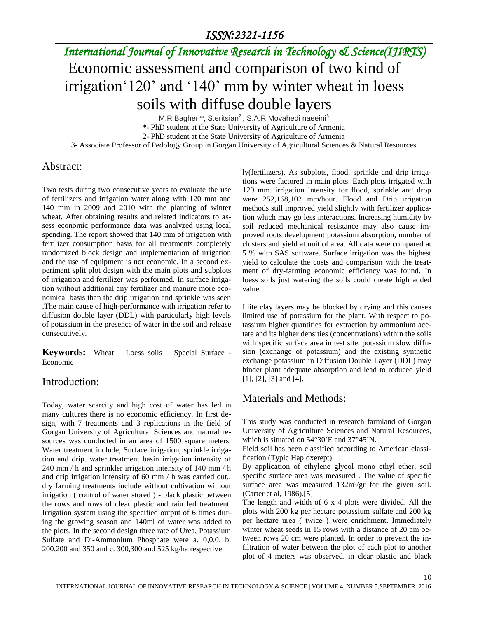# *International Journal of Innovative Research in Technology & Science(IJIRTS)* Economic assessment and comparison of two kind of irrigation'120' and '140' mm by winter wheat in loess soils with diffuse double layers

M.R.Bagheri\*, S.eritsian<sup>2</sup>, S.A.R.Movahedi naeeini<sup>3</sup>

\*- PhD student at the State University of Agriculture of Armenia

2- PhD student at the State University of Agriculture of Armenia

3- Associate Professor of Pedology Group in Gorgan University of Agricultural Sciences & Natural Resources

#### Abstract:

Two tests during two consecutive years to evaluate the use of fertilizers and irrigation water along with 120 mm and 140 mm in 2009 and 2010 with the planting of winter wheat. After obtaining results and related indicators to assess economic performance data was analyzed using local spending. The report showed that 140 mm of irrigation with fertilizer consumption basis for all treatments completely randomized block design and implementation of irrigation and the use of equipment is not economic. In a second experiment split plot design with the main plots and subplots of irrigation and fertilizer was performed. In surface irrigation without additional any fertilizer and manure more economical basis than the drip irrigation and sprinkle was seen .The main cause of high-performance with irrigation refer to diffusion double layer (DDL) with particularly high levels of potassium in the presence of water in the soil and release consecutively.

**Keywords:** Wheat – Loess soils – Special Surface - Economic

#### Introduction:

Today, water scarcity and high cost of water has led in many cultures there is no economic efficiency. In first design, with 7 treatments and 3 replications in the field of Gorgan University of Agricultural Sciences and natural resources was conducted in an area of 1500 square meters. Water treatment include, Surface irrigation, sprinkle irrigation and drip. water treatment basin irrigation intensity of 240 mm / h and sprinkler irrigation intensity of 140 mm / h and drip irrigation intensity of 60 mm / h was carried out., dry farming treatments include without cultivation without irrigation ( control of water stored ) - black plastic between the rows and rows of clear plastic and rain fed treatment. Irrigation system using the specified output of 6 times during the growing season and 140ml of water was added to the plots. In the second design three rate of Urea, Potassium Sulfate and Di-Ammonium Phosphate were a. 0,0,0, b. 200,200 and 350 and c. 300,300 and 525 kg/ha respective

ly(fertilizers). As subplots, flood, sprinkle and drip irrigations were factored in main plots. Each plots irrigated with 120 mm. irrigation intensity for flood, sprinkle and drop were 252,168,102 mm/hour. Flood and Drip irrigation methods still improved yield slightly with fertilizer application which may go less interactions. Increasing humidity by soil reduced mechanical resistance may also cause improved roots development potassium absorption, number of clusters and yield at unit of area. All data were compared at 5 % with SAS software. Surface irrigation was the highest yield to calculate the costs and comparison with the treatment of dry-farming economic efficiency was found. In loess soils just watering the soils could create high added value.

Illite clay layers may be blocked by drying and this causes limited use of potassium for the plant. With respect to potassium higher quantities for extraction by ammonium acetate and its higher densities (concentrations) within the soils with specific surface area in test site, potassium slow diffusion (exchange of potassium) and the existing synthetic exchange potassium in Diffusion Double Layer (DDL) may hinder plant adequate absorption and lead to reduced yield [1], [2], [3] and [4].

#### Materials and Methods:

This study was conducted in research farmland of Gorgan University of Agriculture Sciences and Natural Resources, which is situated on 54°30<sup> $\text{E}$ </sup> and 37°45<sup> $\text{N}$ .</sup>

Field soil has been classified according to American classification (Typic Haploxerept)

By application of ethylene glycol mono ethyl ether, soil specific surface area was measured . The value of specific surface area was measured 132m<sup>2</sup>/gr for the given soil. (Carter et al, 1986).[5]

The length and width of 6 x 4 plots were divided. All the plots with 200 kg per hectare potassium sulfate and 200 kg per hectare urea ( twice ) were enrichment. Immediately winter wheat seeds in 15 rows with a distance of 20 cm between rows 20 cm were planted. In order to prevent the infiltration of water between the plot of each plot to another plot of 4 meters was observed. in clear plastic and black

10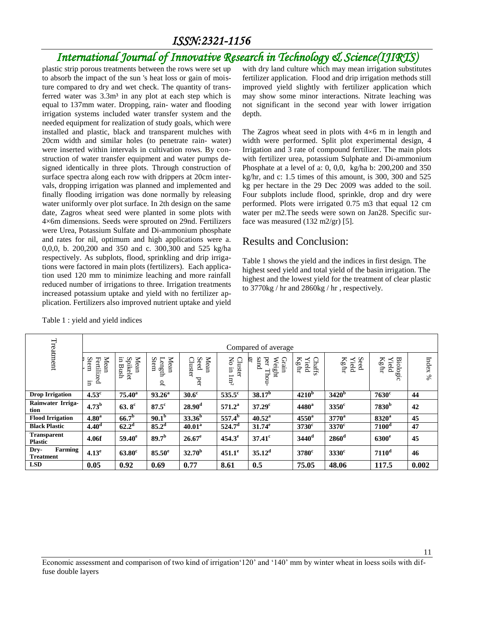## *International Journal of Innovative Research in Technology & Science(IJIRTS)*

plastic strip porous treatments between the rows were set up to absorb the impact of the sun 's heat loss or gain of moisture compared to dry and wet check. The quantity of transferred water was  $3.3m<sup>3</sup>$  in any plot at each step which is equal to 137mm water. Dropping, rain- water and flooding irrigation systems included water transfer system and the needed equipment for realization of study goals, which were installed and plastic, black and transparent mulches with 20cm width and similar holes (to penetrate rain- water) were inserted within intervals in cultivation rows. By construction of water transfer equipment and water pumps designed identically in three plots. Through construction of surface spectra along each row with drippers at 20cm intervals, dropping irrigation was planned and implemented and finally flooding irrigation was done normally by releasing water uniformly over plot surface. In 2th design on the same date, Zagros wheat seed were planted in some plots with 4×6m dimensions. Seeds were sprouted on 29nd. Fertilizers were Urea, Potassium Sulfate and Di-ammonium phosphate and rates for nil, optimum and high applications were a. 0,0,0, b. 200,200 and 350 and c. 300,300 and 525 kg/ha respectively. As subplots, flood, sprinkling and drip irrigations were factored in main plots (fertilizers). Each application used 120 mm to minimize leaching and more rainfall reduced number of irrigations to three. Irrigation treatments increased potassium uptake and yield with no fertilizer application. Fertilizers also improved nutrient uptake and yield

with dry land culture which may mean irrigation substitutes fertilizer application. Flood and drip irrigation methods still improved yield slightly with fertilizer application which may show some minor interactions. Nitrate leaching was not significant in the second year with lower irrigation depth.

The Zagros wheat seed in plots with  $4\times6$  m in length and width were performed. Split plot experimental design, 4 Irrigation and 3 rate of compound fertilizer. The main plots with fertilizer urea, potassium Sulphate and Di-ammonium Phosphate at a level of a: 0, 0,0, kg/ha b: 200,200 and 350 kg/hr, and c: 1.5 times of this amount, is 300, 300 and 525 kg per hectare in the 29 Dec 2009 was added to the soil. Four subplots include flood, sprinkle, drop and dry were performed. Plots were irrigated 0.75 m3 that equal 12 cm water per m2.The seeds were sown on Jan28. Specific surface was measured (132 m2/gr) [5].

#### Results and Conclusion:

Table 1 shows the yield and the indices in first design. The highest seed yield and total yield of the basin irrigation. The highest and the lowest yield for the treatment of clear plastic to 3770kg / hr and 2860kg / hr , respectively.

11

Index %

|                                     |                                             | Compared of average            |                                     |                                |                        |                                                                   |                                |                        |                                        |          |  |  |  |  |  |  |
|-------------------------------------|---------------------------------------------|--------------------------------|-------------------------------------|--------------------------------|------------------------|-------------------------------------------------------------------|--------------------------------|------------------------|----------------------------------------|----------|--|--|--|--|--|--|
| Treatment                           | Mean<br>Stem<br>Fertilized<br>$\Xi^{\cdot}$ | 日.<br>Mean<br>Spikelet<br>Bush | Mean<br>Stem<br>Length<br>$\vec{a}$ | Mean<br>Cluster<br>Seed<br>per | No in<br>Cluster<br>Îm | Sand<br>per<br>Grain<br>Weight<br>gr<br>$_{\mbox{\scriptsize I}}$ | $\rm Kg/hr$<br>Chaffs<br>Yield | Seed<br>Yield<br>Kg/hr | <b>Biologic</b><br>Yield<br>$\rm Kg/m$ | Σλ<br>ें |  |  |  |  |  |  |
| <b>Drop Irrigation</b>              | $4.53^{\circ}$                              | $75.40^{\rm a}$                | $93.26^a$                           | 30.6 <sup>c</sup>              | $535.5^{\circ}$        | $38.17^{\rm b}$                                                   | 4210 <sup>b</sup>              | 3420 <sup>b</sup>      | $7630^{\circ}$                         | 44       |  |  |  |  |  |  |
| Rainwater Irriga-<br>tion           | 4.73 <sup>b</sup>                           | $63.8^c$                       | $87.5$ <sup>c</sup>                 | 28.90 <sup>d</sup>             | $571.2^{\rm a}$        | 37.29 <sup>c</sup>                                                | $4480$ <sup>a</sup>            | $3350^{\circ}$         | 7830 <sup>b</sup>                      | 42       |  |  |  |  |  |  |
| <b>Flood Irrigation</b>             | 4.80 <sup>a</sup>                           | 66.7 <sup>b</sup>              | 90.1 <sup>b</sup>                   | $33.36^b$                      | $557.4^b$              | $40.52^{\rm a}$                                                   | $4550$ <sup>a</sup>            | $3770$ <sup>a</sup>    | $8320^a$                               | 45       |  |  |  |  |  |  |
| <b>Black Plastic</b>                | 4.40 <sup>d</sup>                           | 62.2 <sup>d</sup>              | 85.2 <sup>d</sup>                   | $40.01^a$                      | 524.7 <sup>d</sup>     | $31.74^e$                                                         | $3730$ <sup>c</sup>            | $3370^{\circ}$         | 7100 <sup>d</sup>                      | 47       |  |  |  |  |  |  |
| <b>Transparent</b><br>Plastic       | 4.06f                                       | $59.40^{\circ}$                | 89.7 <sup>b</sup>                   | $26.67$ <sup>e</sup>           | $454.3^{\circ}$        | $37.41^{\circ}$                                                   | $3440$ <sup>d</sup>            | $2860$ <sup>d</sup>    | $6300^\mathrm{e}$                      | 45       |  |  |  |  |  |  |
| Dry-<br>Farming<br><b>Treatment</b> | 4.13 <sup>e</sup>                           | $63.80^\circ$                  | $85.50^e$                           | $32.70^{\rm b}$                | $451.1^{\circ}$        | $35.12^d$                                                         | $3780$ <sup>c</sup>            | $3330^{\circ}$         | $7110$ <sup>d</sup>                    | 46       |  |  |  |  |  |  |
| <b>LSD</b>                          | 0.05                                        | 0.92                           | 0.69                                | 0.77                           | 8.61                   | 0.5                                                               | 75.05                          | 48.06                  | 117.5                                  | 0.002    |  |  |  |  |  |  |

Table 1 : yield and yield indices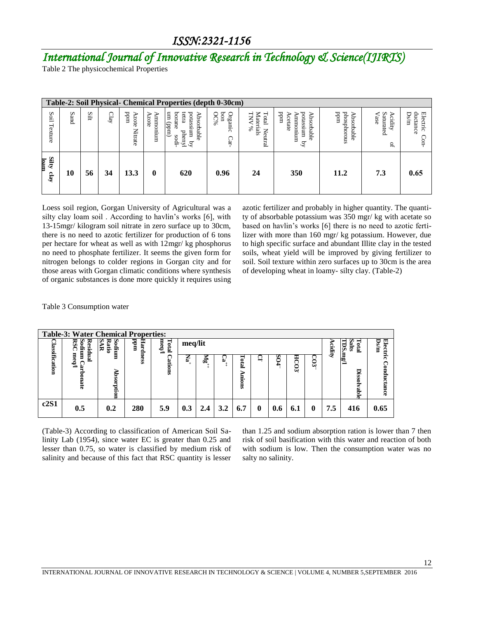## *International Journal of Innovative Research in Technology & Science(IJIRTS)*

Table 2 The physicochemical Properties

|                       |      |      |     |                          |                       | Table-2: Soil Physical- Chemical Properties (depth 0-30cm)                              |                                     |                                                  |                                                            |                                   |                                          |                                     |
|-----------------------|------|------|-----|--------------------------|-----------------------|-----------------------------------------------------------------------------------------|-------------------------------------|--------------------------------------------------|------------------------------------------------------------|-----------------------------------|------------------------------------------|-------------------------------------|
| Soil<br>Texture       | Sand | Silt | C1a | uudd<br>Azote<br>Nitrate | Ammonium<br>⋗<br>zote | potassium<br>tetra<br>borane<br>$(\text{und}$ um<br>Absorbable<br>phenyl<br>sodi-<br>्ष | pon<br>Organic<br><b>OC%</b><br>Car | <b>TNV</b><br>Total<br>Materials<br>℅<br>Neutral | potassium<br>uudd<br>Absorbable<br>Acetate<br>munonum<br>Ğ | phosphorous<br>urdd<br>Absorbable | Saturated<br>Acidity<br>Vase<br>$\Gamma$ | ductance<br>Electric<br>Ds/m<br>Cοn |
| Silty<br>loam<br>clay | 10   | 56   | 34  | 13.3                     | 0                     | 620                                                                                     | 0.96                                | 24                                               | 350                                                        | 11.2                              | 7.3                                      | 0.65                                |

Loess soil region, Gorgan University of Agricultural was a silty clay loam soil . According to havlin's works [6], with 13-15mgr/ kilogram soil nitrate in zero surface up to 30cm, there is no need to azotic fertilizer for production of 6 tons per hectare for wheat as well as with 12mgr/ kg phosphorus no need to phosphate fertilizer. It seems the given form for nitrogen belongs to colder regions in Gorgan city and for those areas with Gorgan climatic conditions where synthesis of organic substances is done more quickly it requires using

azotic fertilizer and probably in higher quantity. The quantity of absorbable potassium was 350 mgr/ kg with acetate so based on havlin's works [6] there is no need to azotic fertilizer with more than 160 mgr/ kg potassium. However, due to high specific surface and abundant Illite clay in the tested soils, wheat yield will be improved by giving fertilizer to soil. Soil texture within zero surfaces up to 30cm is the area of developing wheat in loamy- silty clay. (Table-2)

Table 3 Consumption water

|              | <b>Table-3: Water Chemical Properties:</b> |                                   |              |                           |         |     |     |                       |                            |               |             |              |     |         |            |
|--------------|--------------------------------------------|-----------------------------------|--------------|---------------------------|---------|-----|-----|-----------------------|----------------------------|---------------|-------------|--------------|-----|---------|------------|
|              | ≂<br>Residua<br>È<br>E                     | ∽<br>ĸa<br>iodium<br>ъ<br>₩<br>Ē. | uudd<br>Hard | mod <sub>l</sub><br>Total | meq/lit |     |     | cidity                | mS.mg<br>alts<br><u>ទី</u> | ទ្ធ<br>멿<br>▱ |             |              |     |         |            |
| assification | ō<br>ë<br>5<br>నె                          | ⋗<br>bsorption                    | ess          | ations                    | 줄       | তে  | ∾   | lal<br>I<br>Ξ.<br>gms | −                          | U.<br>Š       | <b>HCO3</b> | 503          |     | ∊<br>۵. | onductance |
| c2S1         | 0.5                                        | 0.2                               | 280          | 5.9                       | 0.3     | 2.4 | 3.2 | 6.7                   | $\bf{0}$                   | 0.6           | 6.1         | $\mathbf{0}$ | 7.5 | 416     | 0.65       |

(Table-3) According to classification of American Soil Salinity Lab (1954), since water EC is greater than 0.25 and lesser than 0.75, so water is classified by medium risk of salinity and because of this fact that RSC quantity is lesser than 1.25 and sodium absorption ration is lower than 7 then risk of soil basification with this water and reaction of both with sodium is low. Then the consumption water was no salty no salinity.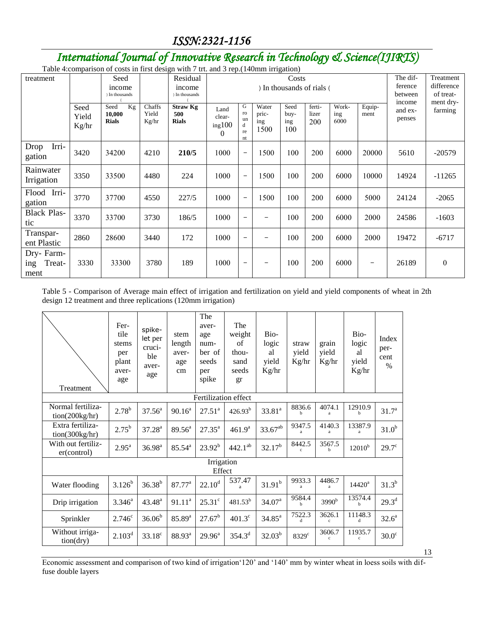# *International Journal of Innovative Research in Technology & Science(IJIRTS)*

Table 4: comparison of costs in first design with 7 trt. and 3 rep.(140mm irrigation)

| treatment                       |                        | Seed<br>income<br>) In thousands     |                          | Residual<br>income<br>) In thousands   |                               |                                |                               | Costs                      | ) In thousands of rials ( |                      |                | The dif-<br>ference<br>between | Treatment<br>difference<br>of treat- |
|---------------------------------|------------------------|--------------------------------------|--------------------------|----------------------------------------|-------------------------------|--------------------------------|-------------------------------|----------------------------|---------------------------|----------------------|----------------|--------------------------------|--------------------------------------|
|                                 | Seed<br>Yield<br>Kg/hr | Kg<br>Seed<br>10,000<br><b>Rials</b> | Chaffs<br>Yield<br>Kg/hr | <b>Straw Kg</b><br>500<br><b>Rials</b> | Land<br>clear-<br>ing100<br>0 | G<br>ro<br>un<br>d<br>re<br>nt | Water<br>pric-<br>ing<br>1500 | Seed<br>buy-<br>ing<br>100 | ferti-<br>lizer<br>200    | Work-<br>ing<br>6000 | Equip-<br>ment | income<br>and ex-<br>penses    | ment dry-<br>farming                 |
| Irri-<br>Drop<br>gation         | 3420                   | 34200                                | 4210                     | 210/5                                  | 1000                          | $\overline{\phantom{m}}$       | 1500                          | 100                        | 200                       | 6000                 | 20000          | 5610                           | $-20579$                             |
| Rainwater<br>Irrigation         | 3350                   | 33500                                | 4480                     | 224                                    | 1000                          | $\overline{\phantom{m}}$       | 1500                          | 100                        | 200                       | 6000                 | 10000          | 14924                          | $-11265$                             |
| Flood Irri-<br>gation           | 3770                   | 37700                                | 4550                     | 227/5                                  | 1000                          | $\overline{\phantom{m}}$       | 1500                          | 100                        | 200                       | 6000                 | 5000           | 24124                          | $-2065$                              |
| <b>Black Plas-</b><br>tic       | 3370                   | 33700                                | 3730                     | 186/5                                  | 1000                          | $\qquad \qquad -$              | —                             | 100                        | 200                       | 6000                 | 2000           | 24586                          | $-1603$                              |
| Transpar-<br>ent Plastic        | 2860                   | 28600                                | 3440                     | 172                                    | 1000                          | $\qquad \qquad -$              |                               | 100                        | 200                       | 6000                 | 2000           | 19472                          | $-6717$                              |
| Dry-Farm-<br>ing Treat-<br>ment | 3330                   | 33300                                | 3780                     | 189                                    | 1000                          | $\qquad \qquad -$              |                               | 100                        | 200                       | 6000                 | -              | 26189                          | $\boldsymbol{0}$                     |

Table 5 - Comparison of Average main effect of irrigation and fertilization on yield and yield components of wheat in 2th design 12 treatment and three replications (120mm irrigation)

| Treatment                           | Fer-<br>tile<br>stems<br>per<br>plant<br>aver-<br>age | spike-<br>let per<br>cruci-<br>ble<br>aver-<br>age | stem<br>length<br>aver-<br>age<br>cm | The<br>aver-<br>age<br>num-<br>ber of<br>seeds<br>per<br>spike | The<br>weight<br>$\sigma$ f<br>thou-<br>sand<br>seeds<br>gr | Bio-<br>logic<br>al<br>yield<br>Kg/hr | straw<br>yield<br>Kg/hr | grain<br>yield<br>Kg/hr | Bio-<br>logic<br>al<br>yield<br>Kg/hr | Index<br>per-<br>cent<br>$\frac{0}{0}$ |
|-------------------------------------|-------------------------------------------------------|----------------------------------------------------|--------------------------------------|----------------------------------------------------------------|-------------------------------------------------------------|---------------------------------------|-------------------------|-------------------------|---------------------------------------|----------------------------------------|
|                                     |                                                       |                                                    |                                      | Fertilization effect                                           |                                                             |                                       |                         |                         |                                       |                                        |
| Normal fertiliza-<br>tion(200kg/hr) | $2.78^{b}$                                            | $37.56^a$                                          | $90.16^a$                            | $27.51^a$                                                      | $426.93^{b}$                                                | 33.81 <sup>a</sup>                    | 8836.6<br>$\mathbf b$   | 4074.1<br>a             | 12910.9<br>h                          | 31.7 <sup>a</sup>                      |
| Extra fertiliza-<br>tion(300kg/hr)  | $2.75^{b}$                                            | $37.28^{a}$                                        | $89.56^{\circ}$                      | $27.35^{\circ}$                                                | 461.9 <sup>a</sup>                                          | $33.67^{ab}$                          | 9347.5<br>a             | 4140.3<br>a             | 13387.9<br>a                          | 31.0 <sup>b</sup>                      |
| With out fertiliz-<br>er(control)   | $2.95^{\mathrm{a}}$                                   | $36.98^{a}$                                        | $85.54^{a}$                          | $23.92^{b}$                                                    | $442.1^{ab}$                                                | $32.17^b$                             | 8442.5<br>$\mathbf{c}$  | 3567.5<br>$\mathbf b$   | $12010^{b}$                           | $29.7^\circ$                           |
|                                     |                                                       |                                                    |                                      | Irrigation                                                     |                                                             |                                       |                         |                         |                                       |                                        |
|                                     |                                                       |                                                    |                                      | Effect                                                         |                                                             |                                       |                         |                         |                                       |                                        |
| Water flooding                      | $3.126^{b}$                                           | $36.38^{b}$                                        | 87.77 <sup>a</sup>                   | $22.10^d$                                                      | 537.47<br>a                                                 | $31.91^{b}$                           | 9933.3<br>a             | 4486.7<br>a             | $14420^a$                             | $31.3^{b}$                             |
| Drip irrigation                     | $3.346^{a}$                                           | $43.48^{a}$                                        | 91.11 <sup>a</sup>                   | $25.31^\circ$                                                  | $481.53^{b}$                                                | 34.07 <sup>a</sup>                    | 9584.4<br>h             | 3990 <sup>b</sup>       | 13574.4                               | $29.3^{d}$                             |
| Sprinkler                           | $2.746^c$                                             | $36.06^{b}$                                        | $85.89^{a}$                          | $27.67^b$                                                      | $401.3^\circ$                                               | $34.85^{\text{a}}$                    | 7522.3<br>d             | 3626.1<br>$\mathbf{c}$  | 11148.3<br>d                          | $32.6^a$                               |
| Without irriga-<br>tion(dry)        | 2.103 <sup>d</sup>                                    | $33.18^c$                                          | $88.93^{\circ}$                      | $29.96^{\text{a}}$                                             | $354.3^d$                                                   | $32.03^{b}$                           | 8329 <sup>c</sup>       | 3606.7<br>$\mathbf{c}$  | 11935.7<br>$\mathbf{c}$               | $30.0^\circ$                           |

13

Economic assessment and comparison of two kind of irrigation'120' and '140' mm by winter wheat in loess soils with diffuse double layers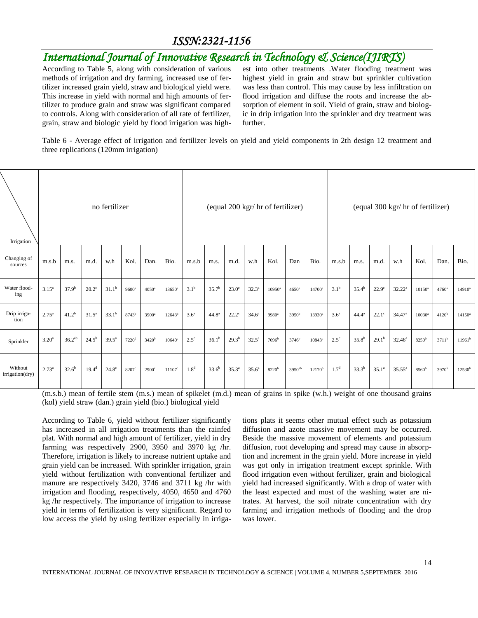## *International Journal of Innovative Research in Technology & Science(IJIRTS)*

According to Table 5, along with consideration of various methods of irrigation and dry farming, increased use of fertilizer increased grain yield, straw and biological yield were. This increase in yield with normal and high amounts of fertilizer to produce grain and straw was significant compared to controls. Along with consideration of all rate of fertilizer, grain, straw and biologic yield by flood irrigation was highest into other treatments .Water flooding treatment was highest yield in grain and straw but sprinkler cultivation was less than control. This may cause by less infiltration on flood irrigation and diffuse the roots and increase the absorption of element in soil. Yield of grain, straw and biologic in drip irrigation into the sprinkler and dry treatment was further.

Table 6 - Average effect of irrigation and fertilizer levels on yield and yield components in 2th design 12 treatment and three replications (120mm irrigation)

| Irrigation                 | no fertilizer  |             |                |              |                     |                     |                 |                  |                   |                |                | (equal 200 kgr/ hr of fertilizer) |                     | (equal 300 kgr/ hr of fertilizer) |                  |            |                |                    |                   |                   |             |
|----------------------------|----------------|-------------|----------------|--------------|---------------------|---------------------|-----------------|------------------|-------------------|----------------|----------------|-----------------------------------|---------------------|-----------------------------------|------------------|------------|----------------|--------------------|-------------------|-------------------|-------------|
| Changing of<br>sources     | m.s.b          | m.s.        | m.d.           | w.h          | Kol.                | Dan.                | Bio.            | m.s.b            | m.s.              | m.d.           | w.h            | Kol.                              | Dan                 | Bio.                              | m.s.b            | m.s.       | m.d.           | w.h                | Kol.              | Dan.              | Bio.        |
| Water flood-<br>ing        | $3.15^a$       | $37.9^{b}$  | $20.2^{\circ}$ | $31.1^{b}$   | $9600^{\rm a}$      | $4050$ <sup>a</sup> | $13650^{\rm a}$ | 3.1 <sup>b</sup> | 35.7 <sup>b</sup> | $23.0^\circ$   | $32.3^a$       | $10950^{\rm a}$                   | $4650$ <sup>a</sup> | $14700^a$                         | 3.1 <sup>b</sup> | $35.4^{b}$ | $22.9^\circ$   | $32.22^a$          | $10150^{\rm a}$   | $4760^{\rm a}$    | $14910^a$   |
| Drip irriga-<br>tion       | $2.75^{\circ}$ | $41.2^b$    | $31.5^a$       | $33.1^b$     | 8743 <sup>b</sup>   | $3900^{\rm a}$      | $12643^{b}$     | 3.6 <sup>a</sup> | 44.8 <sup>a</sup> | $22.2^{\circ}$ | $34.6^a$       | $9980^a$                          | 3950 <sup>b</sup>   | $13930^a$                         | 3.6 <sup>a</sup> | $44.4^a$   | $22.1^\circ$   | 34.47 <sup>a</sup> | $10030^a$         | 4120 <sup>b</sup> | $14150^a$   |
| Sprinkler                  | $3.20^a$       | $36.2^{ab}$ | $24.5^{b}$     | $39.5^a$     | $7220$ <sup>d</sup> | 3420 <sup>b</sup>   | $10640^\circ$   | $2.5^{\circ}$    | $36.1^{b}$        | $29.3^{b}$     | $32.5^{\circ}$ | 7096 <sup>b</sup>                 | $3746^b$            | $10843^{\circ}$                   | $2.5^{\circ}$    | $35.8^{b}$ | $29.1^{\rm b}$ | $32.46^a$          | 8250 <sup>b</sup> | 3711 <sup>b</sup> | $11961^b$   |
| Without<br>irrigation(dry) | $2.73^{a}$     | $32.6^{b}$  | $19.4^d$       | $24.8^\circ$ | 8207 <sup>c</sup>   | $2900^{\circ}$      | $11107^c$       | 1.8 <sup>d</sup> | $33.6^{b}$        | $35.3^{\circ}$ | $35.6^a$       | 8220 <sup>b</sup>                 | $3950^{ab}$         | $12170^b$                         | $1.7^d$          | $33.3^{b}$ | $35.1^a$       | $35.55^a$          | 8560 <sup>b</sup> | 3970 <sup>b</sup> | $12530^{b}$ |

(m.s.b.) mean of fertile stem (m.s.) mean of spikelet (m.d.) mean of grains in spike (w.h.) weight of one thousand grains (kol) yield straw (dan.) grain yield (bio.) biological yield

According to Table 6, yield without fertilizer significantly has increased in all irrigation treatments than the rainfed plat. With normal and high amount of fertilizer, yield in dry farming was respectively 2900, 3950 and 3970 kg /hr. Therefore, irrigation is likely to increase nutrient uptake and grain yield can be increased. With sprinkler irrigation, grain yield without fertilization with conventional fertilizer and manure are respectively 3420, 3746 and 3711 kg /hr with irrigation and flooding, respectively, 4050, 4650 and 4760 kg /hr respectively. The importance of irrigation to increase yield in terms of fertilization is very significant. Regard to low access the yield by using fertilizer especially in irrigations plats it seems other mutual effect such as potassium diffusion and azote massive movement may be occurred. Beside the massive movement of elements and potassium diffusion, root developing and spread may cause in absorption and increment in the grain yield. More increase in yield was got only in irrigation treatment except sprinkle. With flood irrigation even without fertilizer, grain and biological yield had increased significantly. With a drop of water with the least expected and most of the washing water are nitrates. At harvest, the soil nitrate concentration with dry farming and irrigation methods of flooding and the drop was lower.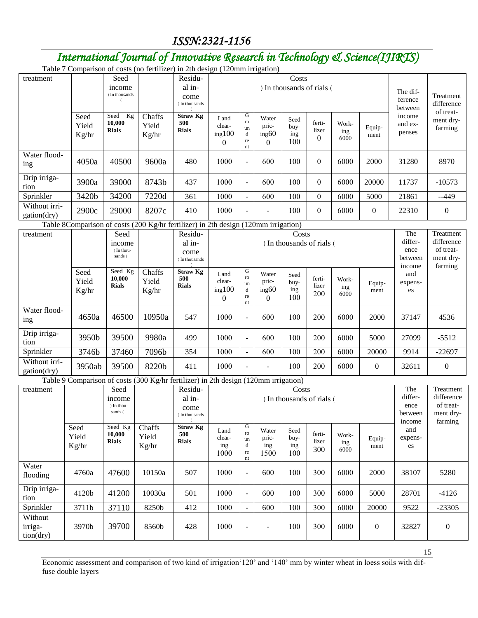## *International Journal of Innovative Research in Technology & Science(IJIRTS)*

Table 7 Comparison of costs (no fertilizer) in 2th design (120mm irrigation)

| treatment                       | raore, comparison or costs (no refunder                                             | Seed<br>income<br>) In thousands<br>$\left($ |                          | $\frac{1}{2}$ and $\frac{1}{2}$ $\frac{1}{2}$ $\frac{1}{2}$ $\frac{1}{2}$ $\frac{1}{2}$ $\frac{1}{2}$ $\frac{1}{2}$ $\frac{1}{2}$ $\frac{1}{2}$ $\frac{1}{2}$ $\frac{1}{2}$ $\frac{1}{2}$ $\frac{1}{2}$ $\frac{1}{2}$ $\frac{1}{2}$ $\frac{1}{2}$ $\frac{1}{2}$ $\frac{1}{2}$ $\frac{1}{2}$ $\frac{1}{2}$ $\frac{1}{2$<br>Residu-<br>al in-<br>come<br>) In thousands |                                              |                                                                              |                                     | Costs<br>) In thousands of rials ( |                                   |                      |                  | The dif-<br>ference<br>between              | Treatment<br>difference                                      |
|---------------------------------|-------------------------------------------------------------------------------------|----------------------------------------------|--------------------------|-----------------------------------------------------------------------------------------------------------------------------------------------------------------------------------------------------------------------------------------------------------------------------------------------------------------------------------------------------------------------|----------------------------------------------|------------------------------------------------------------------------------|-------------------------------------|------------------------------------|-----------------------------------|----------------------|------------------|---------------------------------------------|--------------------------------------------------------------|
|                                 | Seed<br>Yield<br>Kg/hr                                                              | Kg<br>Seed<br>10,000<br><b>Rials</b>         | Chaffs<br>Yield<br>Kg/hr | <b>Straw Kg</b><br>500<br><b>Rials</b>                                                                                                                                                                                                                                                                                                                                | Land<br>clear-<br>ing100<br>$\boldsymbol{0}$ | G<br>$\mathbf{r}$<br>un<br>d<br>re<br>$\mathop{\rm nt}\nolimits$             | Water<br>pric-<br>ing60<br>$\Omega$ | Seed<br>buy-<br>ing<br>100         | ferti-<br>lizer<br>$\overline{0}$ | Work-<br>ing<br>6000 | Equip-<br>ment   | income<br>and ex-<br>penses                 | of treat-<br>ment dry-<br>farming                            |
| Water flood-<br>ing             | 4050a                                                                               | 40500                                        | 9600a                    | 480                                                                                                                                                                                                                                                                                                                                                                   | 1000                                         | $\frac{1}{2}$                                                                | 600                                 | 100                                | $\mathbf{0}$                      | 6000                 | 2000             | 31280                                       | 8970                                                         |
| Drip irriga-<br>tion            | 3900a                                                                               | 39000                                        | 8743b                    | 437                                                                                                                                                                                                                                                                                                                                                                   | 1000                                         | $\overline{a}$                                                               | 600                                 | 100                                | $\mathbf{0}$                      | 6000                 | 20000            | 11737                                       | $-10573$                                                     |
| Sprinkler                       | 3420b                                                                               | 34200                                        | 7220d                    | 361                                                                                                                                                                                                                                                                                                                                                                   | 1000                                         | $\Box$                                                                       | 600                                 | 100                                | $\mathbf{0}$                      | 6000                 | 5000             | 21861                                       | $-449$                                                       |
| Without irri-<br>gation(dry)    | 2900c                                                                               | 29000                                        | 8207c                    | 410                                                                                                                                                                                                                                                                                                                                                                   | 1000                                         | $\overline{a}$                                                               |                                     | 100                                | $\theta$                          | 6000                 | $\boldsymbol{0}$ | 22310                                       | $\boldsymbol{0}$                                             |
|                                 | Table 8Comparison of costs (200 Kg/hr fertilizer) in 2th design (120mm irrigation)  |                                              |                          |                                                                                                                                                                                                                                                                                                                                                                       |                                              |                                                                              |                                     |                                    |                                   |                      |                  |                                             |                                                              |
| treatment                       |                                                                                     | Seed<br>income<br>) In thou-<br>sands (      |                          | Residu-<br>al in-<br>come<br>) In thousands                                                                                                                                                                                                                                                                                                                           |                                              |                                                                              |                                     | Costs<br>) In thousands of rials ( |                                   |                      |                  | The<br>differ-<br>ence<br>between<br>income | Treatment<br>difference<br>of treat-<br>ment dry-<br>farming |
|                                 | Seed<br>Yield<br>Kg/hr                                                              | Seed Kg<br>10,000<br><b>Rials</b>            | Chaffs<br>Yield<br>Kg/hr | <b>Straw Kg</b><br>500<br><b>Rials</b>                                                                                                                                                                                                                                                                                                                                | Land<br>clear-<br>ing100<br>$\mathbf{0}$     | ${\bf G}$<br>ro<br>un<br>d<br>$\rm re$<br>$\mathop{\hbox{\rm nt}}$           | Water<br>pric-<br>ing60<br>$\Omega$ | Seed<br>buy-<br>ing<br>100         | ferti-<br>lizer<br>200            | Work-<br>ing<br>6000 | Equip-<br>ment   | and<br>expens-<br>es                        |                                                              |
| Water flood-<br>ing             | 4650a                                                                               | 46500                                        | 10950a                   | 547                                                                                                                                                                                                                                                                                                                                                                   | 1000                                         | $\overline{\phantom{a}}$                                                     | 600                                 | 100                                | 200                               | 6000                 | 2000             | 37147                                       | 4536                                                         |
| Drip irriga-<br>tion            | 3950b                                                                               | 39500                                        | 9980a                    | 499                                                                                                                                                                                                                                                                                                                                                                   | 1000                                         | $\bar{\phantom{a}}$                                                          | 600                                 | 100                                | 200                               | 6000                 | 5000             | 27099                                       | $-5512$                                                      |
| Sprinkler                       | 3746b                                                                               | 37460                                        | 7096b                    | 354                                                                                                                                                                                                                                                                                                                                                                   | 1000                                         | $\blacksquare$                                                               | 600                                 | 100                                | 200                               | 6000                 | 20000            | 9914                                        | $-22697$                                                     |
| Without irri-<br>gation(dry)    | 3950ab                                                                              | 39500                                        | 8220b                    | 411                                                                                                                                                                                                                                                                                                                                                                   | 1000                                         | $\blacksquare$                                                               | ÷.                                  | 100                                | 200                               | 6000                 | $\boldsymbol{0}$ | 32611                                       | $\boldsymbol{0}$                                             |
|                                 | Table 9 Comparison of costs (300 Kg/hr fertilizer) in 2th design (120mm irrigation) |                                              |                          |                                                                                                                                                                                                                                                                                                                                                                       |                                              |                                                                              |                                     |                                    |                                   |                      |                  |                                             |                                                              |
| treatment                       |                                                                                     | Seed<br>income<br>) In thou-<br>sands (      |                          | Residu-<br>al in-<br>come<br>) In thousands                                                                                                                                                                                                                                                                                                                           |                                              |                                                                              |                                     | Costs<br>) In thousands of rials ( |                                   |                      |                  | The<br>differ-<br>ence<br>between<br>income | Treatment<br>difference<br>of treat-<br>ment dry-<br>farming |
|                                 | Seed<br>Yield<br>Kg/hr                                                              | Seed Kg<br>10,000<br><b>Rials</b>            | Chaffs<br>Yield<br>Kg/hr | <b>Straw Kg</b><br>500<br><b>Rials</b>                                                                                                                                                                                                                                                                                                                                | Land<br>clear-<br>ing<br>1000                | ${\bf G}$<br>$\mathbf{r}$<br>un<br>d<br>$\rm re$<br>$\mathop{\hbox{\rm nt}}$ | Water<br>pric-<br>ing<br>1500       | Seed<br>buy-<br>ing<br>100         | ferti-<br>lizer<br>300            | Work-<br>ing<br>6000 | Equip-<br>ment   | and<br>expens-<br>es                        |                                                              |
| Water<br>flooding               | 4760a                                                                               | 47600                                        | 10150a                   | 507                                                                                                                                                                                                                                                                                                                                                                   | 1000                                         | $\Box$                                                                       | 600                                 | 100                                | 300                               | 6000                 | 2000             | 38107                                       | 5280                                                         |
| Drip irriga-<br>tion            | 4120b                                                                               | 41200                                        | 10030a                   | 501                                                                                                                                                                                                                                                                                                                                                                   | 1000                                         | $\blacksquare$                                                               | 600                                 | 100                                | 300                               | 6000                 | 5000             | 28701                                       | $-4126$                                                      |
| Sprinkler                       | 3711b                                                                               | 37110                                        | 8250b                    | 412                                                                                                                                                                                                                                                                                                                                                                   | 1000                                         | $\blacksquare$                                                               | 600                                 | 100                                | 300                               | 6000                 | 20000            | 9522                                        | $-23305$                                                     |
| Without<br>irriga-<br>tion(dry) | 3970b                                                                               | 39700                                        | 8560b                    | 428                                                                                                                                                                                                                                                                                                                                                                   | 1000                                         | $\blacksquare$                                                               | $\overline{\phantom{0}}$            | 100                                | 300                               | 6000                 | $\boldsymbol{0}$ | 32827                                       | $\boldsymbol{0}$                                             |

15

Economic assessment and comparison of two kind of irrigation'120' and '140' mm by winter wheat in loess soils with diffuse double layers